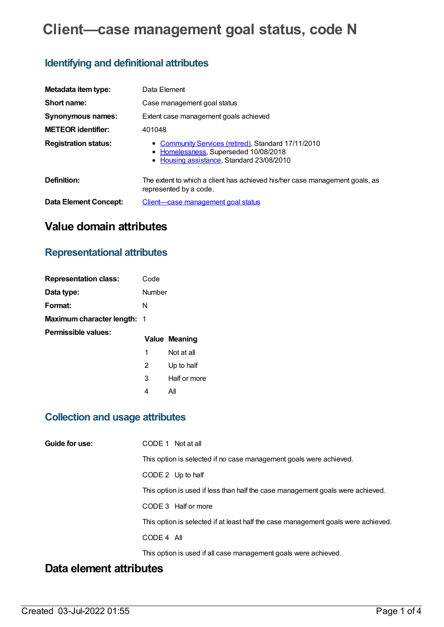# **Client—case management goal status, code N**

# **Identifying and definitional attributes**

| Metadata item type:         | Data Element                                                                                                                              |
|-----------------------------|-------------------------------------------------------------------------------------------------------------------------------------------|
| Short name:                 | Case management goal status                                                                                                               |
| <b>Synonymous names:</b>    | Extent case management goals achieved                                                                                                     |
| <b>METEOR identifier:</b>   | 401048                                                                                                                                    |
| <b>Registration status:</b> | • Community Services (retired), Standard 17/11/2010<br>• Homelessness, Superseded 10/08/2018<br>• Housing assistance, Standard 23/08/2010 |
| Definition:                 | The extent to which a client has achieved his/her case management goals, as<br>represented by a code.                                     |
| Data Element Concept:       | Client—case management goal status                                                                                                        |

# **Value domain attributes**

# **Representational attributes**

| <b>Representation class:</b> | Code   |                      |
|------------------------------|--------|----------------------|
| Data type:                   | Number |                      |
| Format:                      | N      |                      |
| Maximum character length: 1  |        |                      |
| Permissible values:          |        | <b>Value Meaning</b> |
|                              |        |                      |
|                              | 1      | Not at all           |
|                              | 2      | Up to half           |
|                              | 3      | Half or more         |

# **Collection and usage attributes**

| Guide for use: | CODE 1 Not at all                                                                 |
|----------------|-----------------------------------------------------------------------------------|
|                | This option is selected if no case management goals were achieved.                |
|                | CODE 2 Up to half                                                                 |
|                | This option is used if less than half the case management goals were achieved.    |
|                | CODE 3 Half or more                                                               |
|                | This option is selected if at least half the case management goals were achieved. |
|                | CODE 4 All                                                                        |
|                | This option is used if all case management goals were achieved.                   |

# **Data element attributes**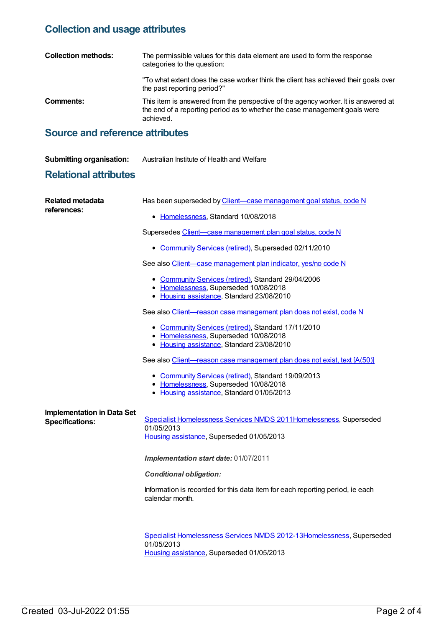### **Collection and usage attributes**

| <b>Collection methods:</b> | The permissible values for this data element are used to form the response<br>categories to the question:                                                                     |
|----------------------------|-------------------------------------------------------------------------------------------------------------------------------------------------------------------------------|
|                            | "To what extent does the case worker think the client has achieved their goals over<br>the past reporting period?"                                                            |
| Comments:                  | This item is answered from the perspective of the agency worker. It is answered at<br>the end of a reporting period as to whether the case management goals were<br>achieved. |

### **Source and reference attributes**

**Submitting organisation:** Australian Institute of Health and Welfare

### **Relational attributes**

| <b>Related metadata</b><br>references:                      | Has been superseded by Client-case management goal status, code N                                                                         |
|-------------------------------------------------------------|-------------------------------------------------------------------------------------------------------------------------------------------|
|                                                             | • Homelessness, Standard 10/08/2018                                                                                                       |
|                                                             | Supersedes Client-case management plan goal status, code N                                                                                |
|                                                             | • Community Services (retired), Superseded 02/11/2010                                                                                     |
|                                                             | See also Client-case management plan indicator, yes/no code N                                                                             |
|                                                             | • Community Services (retired), Standard 29/04/2006<br>• Homelessness, Superseded 10/08/2018<br>• Housing assistance, Standard 23/08/2010 |
|                                                             | See also Client-reason case management plan does not exist, code N                                                                        |
|                                                             | • Community Services (retired), Standard 17/11/2010<br>• Homelessness, Superseded 10/08/2018<br>• Housing assistance, Standard 23/08/2010 |
|                                                             | See also Client-reason case management plan does not exist, text [A(50)]                                                                  |
|                                                             | • Community Services (retired), Standard 19/09/2013<br>• Homelessness, Superseded 10/08/2018<br>• Housing assistance, Standard 01/05/2013 |
| <b>Implementation in Data Set</b><br><b>Specifications:</b> | Specialist Homelessness Services NMDS 2011Homelessness, Superseded<br>01/05/2013<br>Housing assistance, Superseded 01/05/2013             |
|                                                             | Implementation start date: 01/07/2011                                                                                                     |
|                                                             | <b>Conditional obligation:</b>                                                                                                            |
|                                                             | Information is recorded for this data item for each reporting period, ie each<br>calendar month.                                          |
|                                                             |                                                                                                                                           |
|                                                             | Canadalist Legenhannennen Camisen NNJDO 0040 401 legenhannennen. Cumanen                                                                  |

Specialist [Homelessness](https://meteor.aihw.gov.au/content/508954) Services NMDS 2012-1[3Homelessness](https://meteor.aihw.gov.au/RegistrationAuthority/14), Superseded 01/05/2013 Housing [assistance](https://meteor.aihw.gov.au/RegistrationAuthority/11), Superseded 01/05/2013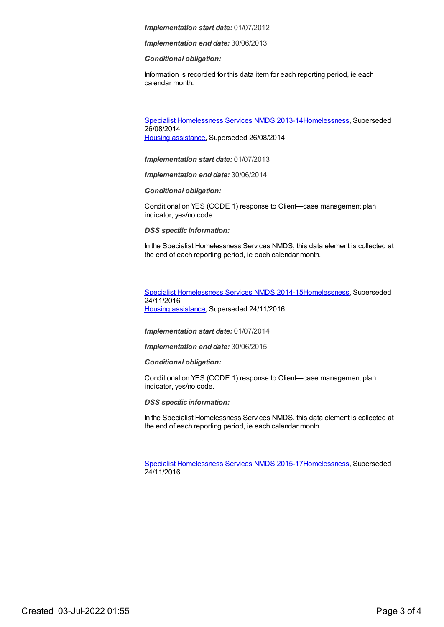#### *Implementation start date:* 01/07/2012

*Implementation end date:* 30/06/2013

#### *Conditional obligation:*

Information is recorded for this data item for each reporting period, ie each calendar month.

Specialist [Homelessness](https://meteor.aihw.gov.au/content/505626) Services NMDS 2013-1[4Homelessness](https://meteor.aihw.gov.au/RegistrationAuthority/14), Superseded 26/08/2014 Housing [assistance](https://meteor.aihw.gov.au/RegistrationAuthority/11), Superseded 26/08/2014

*Implementation start date:* 01/07/2013

*Implementation end date:* 30/06/2014

*Conditional obligation:*

Conditional on YES (CODE 1) response to Client—case management plan indicator, yes/no code.

*DSS specific information:*

In the Specialist Homelessness Services NMDS, this data element is collected at the end of each reporting period, ie each calendar month.

Specialist [Homelessness](https://meteor.aihw.gov.au/content/581255) Services NMDS 2014-1[5Homelessness](https://meteor.aihw.gov.au/RegistrationAuthority/14), Superseded 24/11/2016 Housing [assistance](https://meteor.aihw.gov.au/RegistrationAuthority/11), Superseded 24/11/2016

*Implementation start date:* 01/07/2014

*Implementation end date:* 30/06/2015

*Conditional obligation:*

Conditional on YES (CODE 1) response to Client—case management plan indicator, yes/no code.

*DSS specific information:*

In the Specialist Homelessness Services NMDS, this data element is collected at the end of each reporting period, ie each calendar month.

Specialist [Homelessness](https://meteor.aihw.gov.au/content/658005) Services NMDS 2015-1[7Homelessness](https://meteor.aihw.gov.au/RegistrationAuthority/14), Superseded 24/11/2016